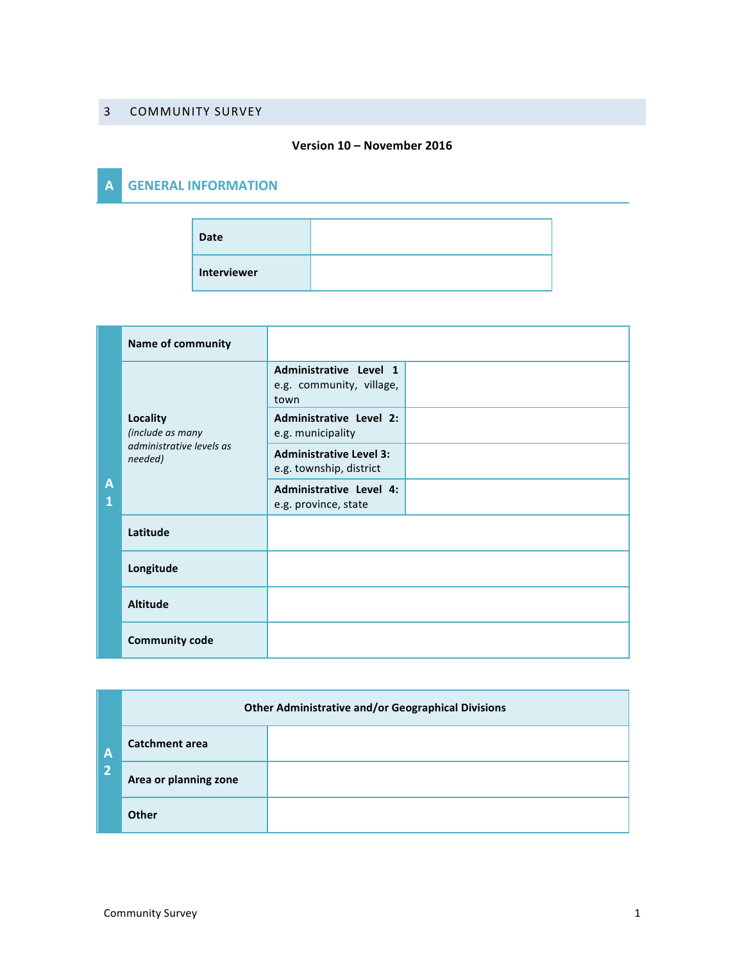## 3 COMMUNITY SURVEY

## **Version 10 – November 2016**

## **A GENERAL INFORMATION**

| <b>Date</b> |  |
|-------------|--|
| Interviewer |  |

|        | <b>Name of community</b>                                            |                                                            |  |
|--------|---------------------------------------------------------------------|------------------------------------------------------------|--|
|        | Locality<br>(include as many<br>administrative levels as<br>needed) | Administrative Level 1<br>e.g. community, village,<br>town |  |
|        |                                                                     | Administrative Level 2:<br>e.g. municipality               |  |
| A<br>1 |                                                                     | <b>Administrative Level 3:</b><br>e.g. township, district  |  |
|        |                                                                     | Administrative Level 4:<br>e.g. province, state            |  |
|        | Latitude                                                            |                                                            |  |
|        | Longitude                                                           |                                                            |  |
|        | <b>Altitude</b>                                                     |                                                            |  |
|        | <b>Community code</b>                                               |                                                            |  |

| $\mathbf{A}$<br>$\overline{2}$ | <b>Other Administrative and/or Geographical Divisions</b> |  |  |  |
|--------------------------------|-----------------------------------------------------------|--|--|--|
|                                | <b>Catchment area</b>                                     |  |  |  |
|                                | Area or planning zone                                     |  |  |  |
|                                | Other                                                     |  |  |  |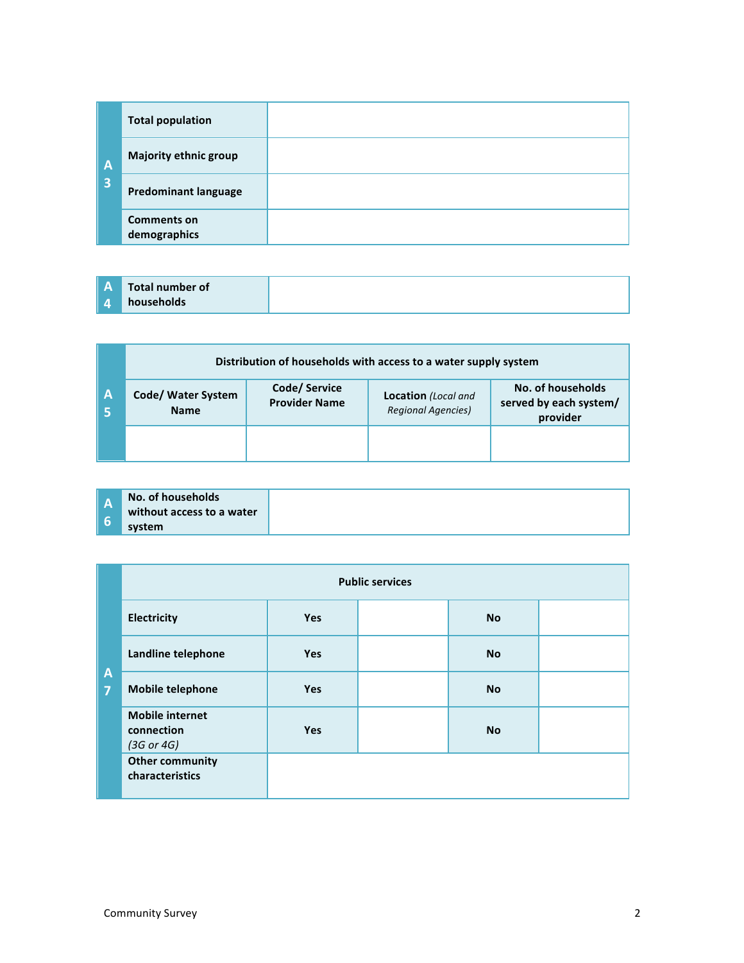|                         | <b>Total population</b>            |  |
|-------------------------|------------------------------------|--|
| A                       | <b>Majority ethnic group</b>       |  |
| $\overline{\mathbf{3}}$ | <b>Predominant language</b>        |  |
|                         | <b>Comments on</b><br>demographics |  |

|   | Distribution of households with access to a water supply system |                                       |                                                         |                                                         |
|---|-----------------------------------------------------------------|---------------------------------------|---------------------------------------------------------|---------------------------------------------------------|
| A | Code/ Water System<br><b>Name</b>                               | Code/ Service<br><b>Provider Name</b> | <b>Location</b> (Local and<br><b>Regional Agencies)</b> | No. of households<br>served by each system/<br>provider |
|   |                                                                 |                                       |                                                         |                                                         |

|     | No. of households         |
|-----|---------------------------|
| 12) | without access to a water |
|     |                           |
|     | system                    |

|                                  | <b>Public services</b>                                        |            |  |           |  |
|----------------------------------|---------------------------------------------------------------|------------|--|-----------|--|
|                                  | Electricity                                                   | <b>Yes</b> |  | <b>No</b> |  |
|                                  | Landline telephone                                            | <b>Yes</b> |  | <b>No</b> |  |
| $\overline{A}$<br>$\overline{7}$ | <b>Mobile telephone</b>                                       | <b>Yes</b> |  | <b>No</b> |  |
|                                  | <b>Mobile internet</b><br>connection<br>$(3G \text{ or } 4G)$ | <b>Yes</b> |  | <b>No</b> |  |
|                                  | <b>Other community</b><br>characteristics                     |            |  |           |  |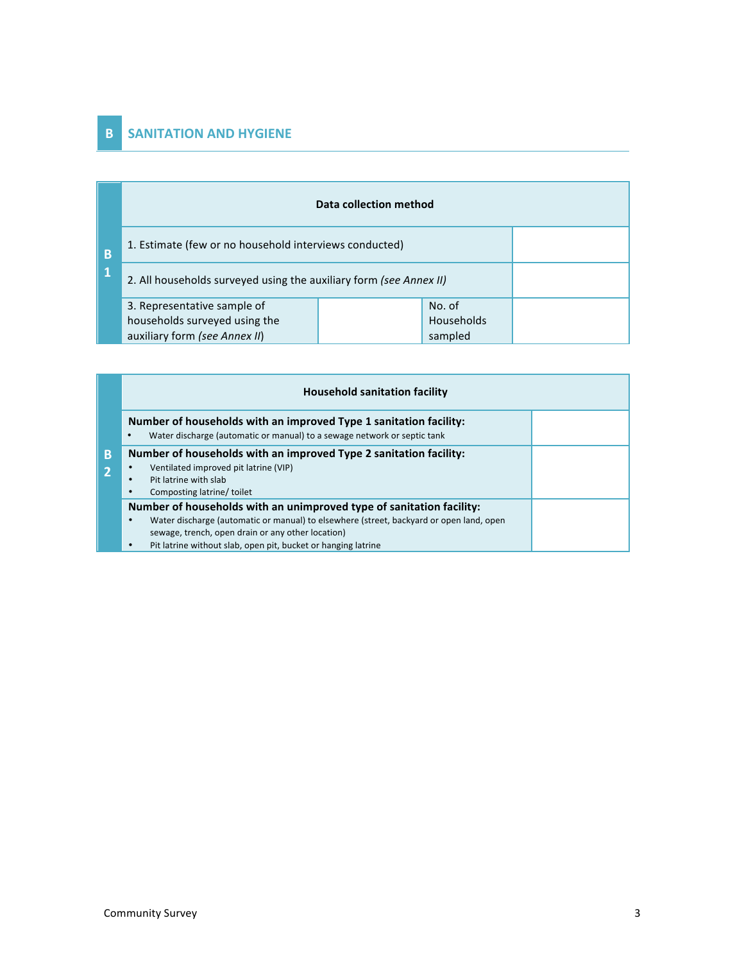## **B SANITATION AND HYGIENE**

|   | Data collection method                                             |  |            |  |  |
|---|--------------------------------------------------------------------|--|------------|--|--|
| B | 1. Estimate (few or no household interviews conducted)             |  |            |  |  |
| 1 | 2. All households surveyed using the auxiliary form (see Annex II) |  |            |  |  |
|   | 3. Representative sample of                                        |  | No. of     |  |  |
|   | households surveyed using the                                      |  | Households |  |  |
|   | auxiliary form (see Annex II)                                      |  | sampled    |  |  |

|   | <b>Household sanitation facility</b>                                                                                                                                                                                                                                                       |  |  |  |
|---|--------------------------------------------------------------------------------------------------------------------------------------------------------------------------------------------------------------------------------------------------------------------------------------------|--|--|--|
|   | Number of households with an improved Type 1 sanitation facility:<br>Water discharge (automatic or manual) to a sewage network or septic tank<br>$\bullet$                                                                                                                                 |  |  |  |
| B | Number of households with an improved Type 2 sanitation facility:<br>Ventilated improved pit latrine (VIP)<br>Pit latrine with slab<br>Composting latrine/ toilet                                                                                                                          |  |  |  |
|   | Number of households with an unimproved type of sanitation facility:<br>Water discharge (automatic or manual) to elsewhere (street, backyard or open land, open<br>٠<br>sewage, trench, open drain or any other location)<br>Pit latrine without slab, open pit, bucket or hanging latrine |  |  |  |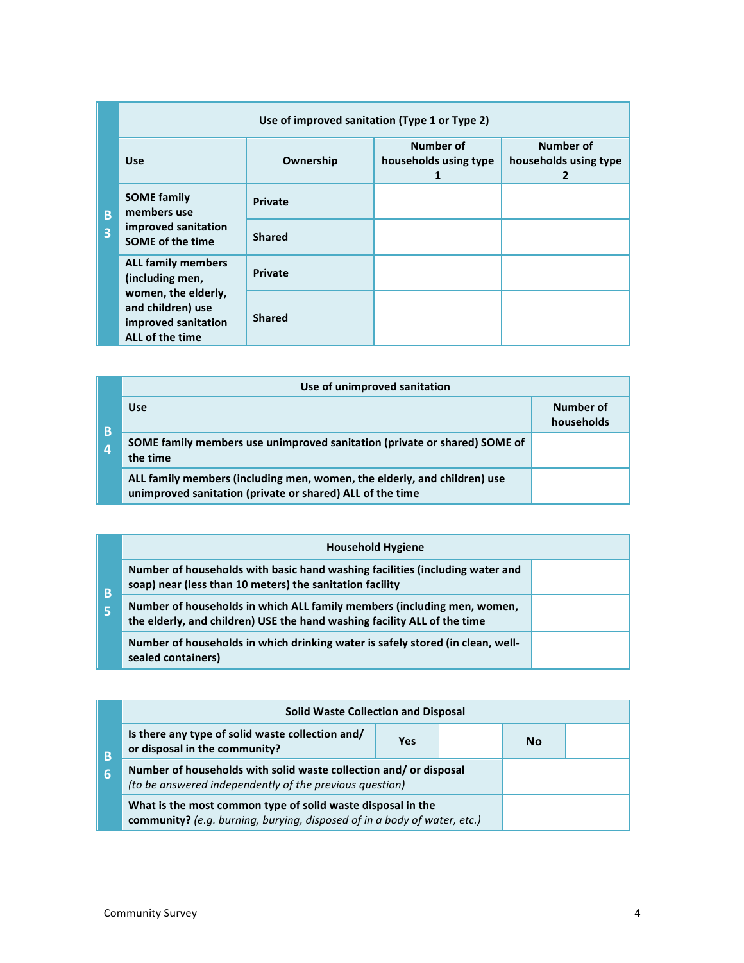|                     | Use of improved sanitation (Type 1 or Type 2)                                       |                |                                         |                                                    |  |
|---------------------|-------------------------------------------------------------------------------------|----------------|-----------------------------------------|----------------------------------------------------|--|
|                     | <b>Use</b>                                                                          | Ownership      | Number of<br>households using type<br>1 | Number of<br>households using type<br>$\mathbf{2}$ |  |
| B<br>$\overline{3}$ | <b>SOME family</b><br>members use<br>improved sanitation<br><b>SOME of the time</b> | <b>Private</b> |                                         |                                                    |  |
|                     |                                                                                     | <b>Shared</b>  |                                         |                                                    |  |
|                     | <b>ALL family members</b><br>(including men,                                        | Private        |                                         |                                                    |  |
|                     | women, the elderly,<br>and children) use<br>improved sanitation<br>ALL of the time  | <b>Shared</b>  |                                         |                                                    |  |

|                | Use of unimproved sanitation                                                                                                          |                         |  |
|----------------|---------------------------------------------------------------------------------------------------------------------------------------|-------------------------|--|
| B              | <b>Use</b>                                                                                                                            | Number of<br>households |  |
| $\overline{4}$ | SOME family members use unimproved sanitation (private or shared) SOME of<br>the time                                                 |                         |  |
|                | ALL family members (including men, women, the elderly, and children) use<br>unimproved sanitation (private or shared) ALL of the time |                         |  |

|   | <b>Household Hygiene</b>                                                                                                                            |  |
|---|-----------------------------------------------------------------------------------------------------------------------------------------------------|--|
| B | Number of households with basic hand washing facilities (including water and<br>soap) near (less than 10 meters) the sanitation facility            |  |
|   | Number of households in which ALL family members (including men, women,<br>the elderly, and children) USE the hand washing facility ALL of the time |  |
|   | Number of households in which drinking water is safely stored (in clean, well-<br>sealed containers)                                                |  |

|   | <b>Solid Waste Collection and Disposal</b>                                                                                              |  |    |  |  |  |  |  |  |  |  |  |  |
|---|-----------------------------------------------------------------------------------------------------------------------------------------|--|----|--|--|--|--|--|--|--|--|--|--|
| B | Is there any type of solid waste collection and/<br>or disposal in the community?                                                       |  | Nο |  |  |  |  |  |  |  |  |  |  |
| 6 | Number of households with solid waste collection and/ or disposal<br>(to be answered independently of the previous question)            |  |    |  |  |  |  |  |  |  |  |  |  |
|   | What is the most common type of solid waste disposal in the<br>community? (e.g. burning, burying, disposed of in a body of water, etc.) |  |    |  |  |  |  |  |  |  |  |  |  |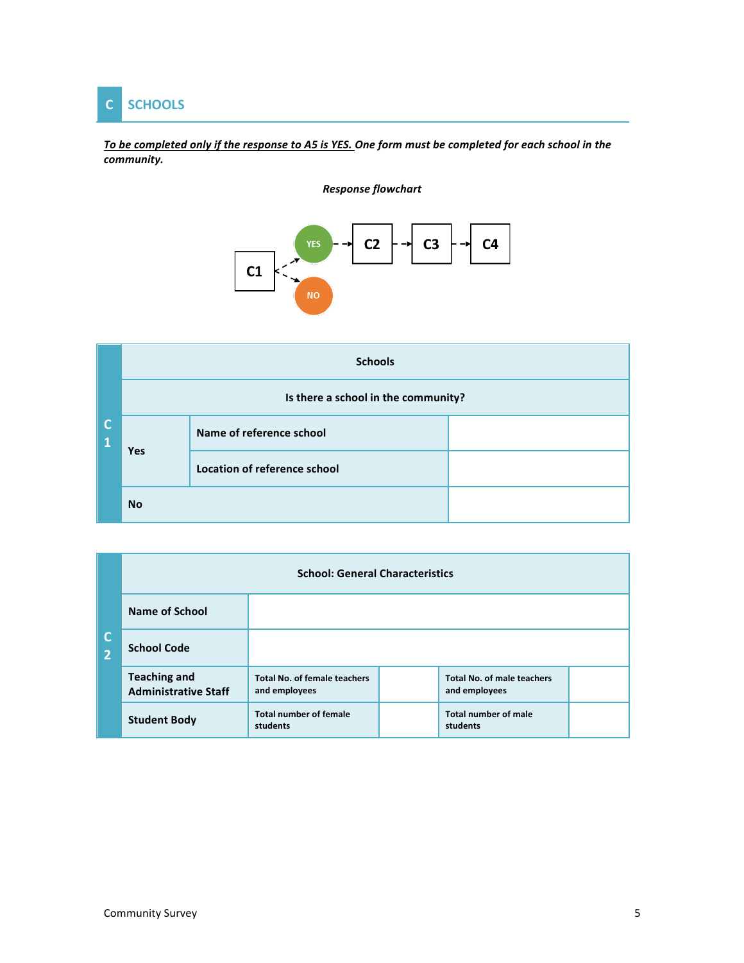

To be completed only if the response to A5 is YES. One form must be completed for each school in the *community.* 

## *Response flowchart*



|        |           | <b>Schools</b>                      |  |  |  |  |  |  |  |  |  |  |  |
|--------|-----------|-------------------------------------|--|--|--|--|--|--|--|--|--|--|--|
|        |           | Is there a school in the community? |  |  |  |  |  |  |  |  |  |  |  |
| C<br>1 |           | Name of reference school            |  |  |  |  |  |  |  |  |  |  |  |
|        | Yes       | Location of reference school        |  |  |  |  |  |  |  |  |  |  |  |
|        | <b>No</b> |                                     |  |  |  |  |  |  |  |  |  |  |  |

| IC.<br>$\overline{2}$ | <b>School: General Characteristics</b>             |                                                      |  |                                                    |  |  |  |  |  |  |  |  |  |  |
|-----------------------|----------------------------------------------------|------------------------------------------------------|--|----------------------------------------------------|--|--|--|--|--|--|--|--|--|--|
|                       | Name of School                                     |                                                      |  |                                                    |  |  |  |  |  |  |  |  |  |  |
|                       | <b>School Code</b>                                 |                                                      |  |                                                    |  |  |  |  |  |  |  |  |  |  |
|                       | <b>Teaching and</b><br><b>Administrative Staff</b> | <b>Total No. of female teachers</b><br>and employees |  | <b>Total No. of male teachers</b><br>and employees |  |  |  |  |  |  |  |  |  |  |
|                       | <b>Student Body</b>                                | <b>Total number of female</b><br>students            |  | <b>Total number of male</b><br>students            |  |  |  |  |  |  |  |  |  |  |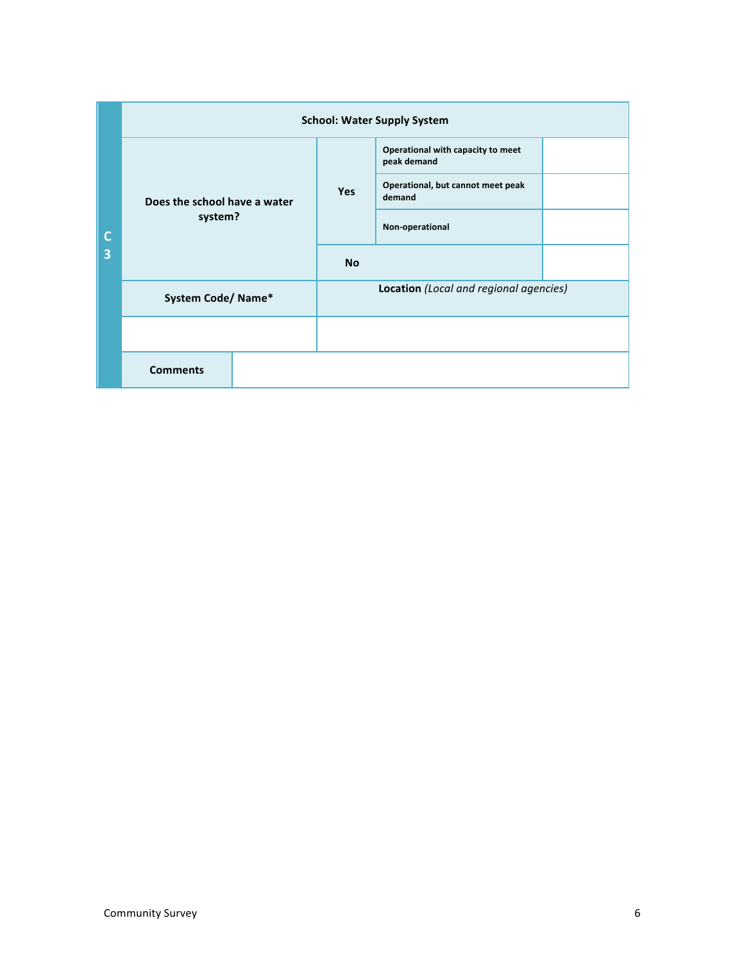|        |                              |            | <b>School: Water Supply System</b>               |  |  |  |  |  |  |  |
|--------|------------------------------|------------|--------------------------------------------------|--|--|--|--|--|--|--|
|        |                              |            | Operational with capacity to meet<br>peak demand |  |  |  |  |  |  |  |
|        | Does the school have a water | <b>Yes</b> | Operational, but cannot meet peak<br>demand      |  |  |  |  |  |  |  |
| C<br>3 | system?                      |            | Non-operational                                  |  |  |  |  |  |  |  |
|        |                              | <b>No</b>  |                                                  |  |  |  |  |  |  |  |
|        | System Code/Name*            |            | Location (Local and regional agencies)           |  |  |  |  |  |  |  |
|        |                              |            |                                                  |  |  |  |  |  |  |  |
|        | <b>Comments</b>              |            |                                                  |  |  |  |  |  |  |  |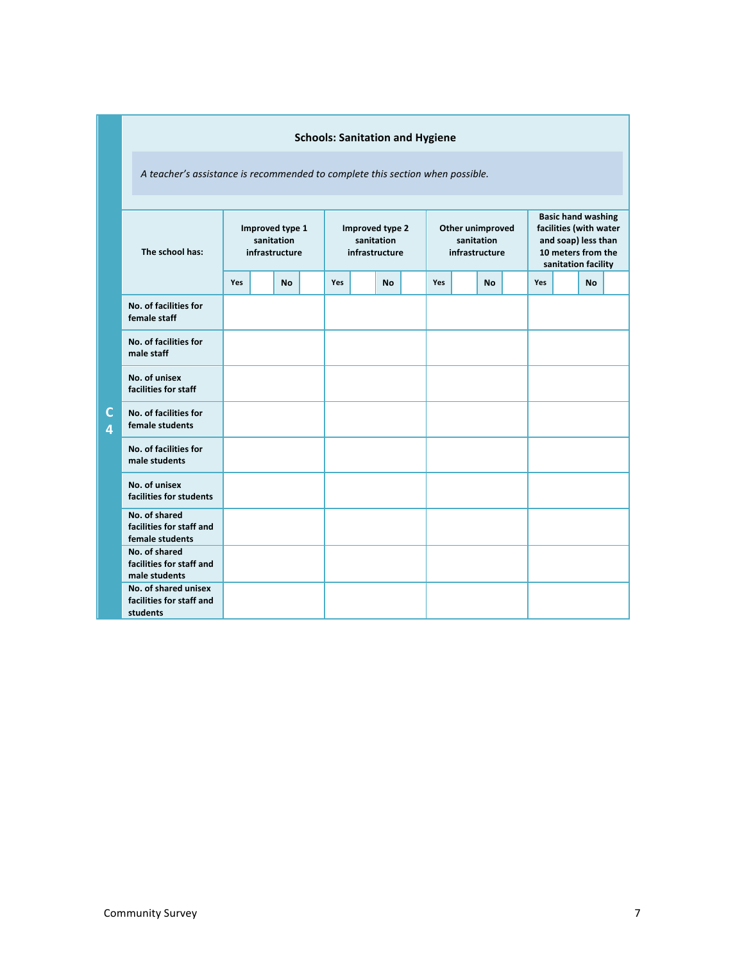|                                                              | <b>Schools: Sanitation and Hygiene</b>                                        |  |           |  |                                                 |  |           |  |     |  |                                                  |                                                                                                                         |     |  |           |  |
|--------------------------------------------------------------|-------------------------------------------------------------------------------|--|-----------|--|-------------------------------------------------|--|-----------|--|-----|--|--------------------------------------------------|-------------------------------------------------------------------------------------------------------------------------|-----|--|-----------|--|
|                                                              | A teacher's assistance is recommended to complete this section when possible. |  |           |  |                                                 |  |           |  |     |  |                                                  |                                                                                                                         |     |  |           |  |
| The school has:                                              | Improved type 1<br>sanitation<br>infrastructure                               |  |           |  | Improved type 2<br>sanitation<br>infrastructure |  |           |  |     |  | Other unimproved<br>sanitation<br>infrastructure | <b>Basic hand washing</b><br>facilities (with water<br>and soap) less than<br>10 meters from the<br>sanitation facility |     |  |           |  |
|                                                              | Yes                                                                           |  | <b>No</b> |  | Yes                                             |  | <b>No</b> |  | Yes |  | <b>No</b>                                        |                                                                                                                         | Yes |  | <b>No</b> |  |
| No. of facilities for<br>female staff                        |                                                                               |  |           |  |                                                 |  |           |  |     |  |                                                  |                                                                                                                         |     |  |           |  |
| No. of facilities for<br>male staff                          |                                                                               |  |           |  |                                                 |  |           |  |     |  |                                                  |                                                                                                                         |     |  |           |  |
| No. of unisex<br>facilities for staff                        |                                                                               |  |           |  |                                                 |  |           |  |     |  |                                                  |                                                                                                                         |     |  |           |  |
| No. of facilities for<br>female students                     |                                                                               |  |           |  |                                                 |  |           |  |     |  |                                                  |                                                                                                                         |     |  |           |  |
| No. of facilities for<br>male students                       |                                                                               |  |           |  |                                                 |  |           |  |     |  |                                                  |                                                                                                                         |     |  |           |  |
| No. of unisex<br>facilities for students                     |                                                                               |  |           |  |                                                 |  |           |  |     |  |                                                  |                                                                                                                         |     |  |           |  |
| No. of shared<br>facilities for staff and<br>female students |                                                                               |  |           |  |                                                 |  |           |  |     |  |                                                  |                                                                                                                         |     |  |           |  |
| No. of shared<br>facilities for staff and<br>male students   |                                                                               |  |           |  |                                                 |  |           |  |     |  |                                                  |                                                                                                                         |     |  |           |  |
| No. of shared unisex<br>facilities for staff and<br>students |                                                                               |  |           |  |                                                 |  |           |  |     |  |                                                  |                                                                                                                         |     |  |           |  |

**C 4**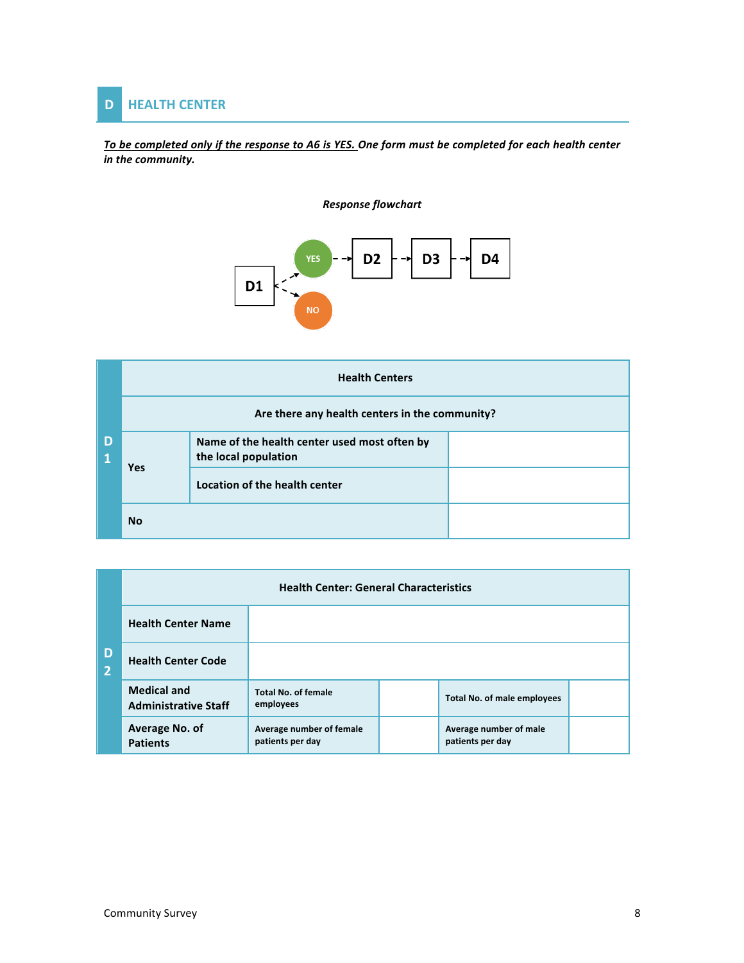

To be completed only if the response to A6 is YES. One form must be completed for each health center in the community.





|        | <b>Health Centers</b>                          |                                                                      |  |  |  |  |  |  |  |  |  |  |  |
|--------|------------------------------------------------|----------------------------------------------------------------------|--|--|--|--|--|--|--|--|--|--|--|
|        | Are there any health centers in the community? |                                                                      |  |  |  |  |  |  |  |  |  |  |  |
| D<br>1 |                                                | Name of the health center used most often by<br>the local population |  |  |  |  |  |  |  |  |  |  |  |
|        | Yes                                            | Location of the health center                                        |  |  |  |  |  |  |  |  |  |  |  |
|        | <b>No</b>                                      |                                                                      |  |  |  |  |  |  |  |  |  |  |  |

|                     | <b>Health Center: General Characteristics</b>     |                                              |  |                                            |  |  |  |  |  |  |  |  |  |  |
|---------------------|---------------------------------------------------|----------------------------------------------|--|--------------------------------------------|--|--|--|--|--|--|--|--|--|--|
|                     | <b>Health Center Name</b>                         |                                              |  |                                            |  |  |  |  |  |  |  |  |  |  |
| D<br>$\overline{2}$ | <b>Health Center Code</b>                         |                                              |  |                                            |  |  |  |  |  |  |  |  |  |  |
|                     | <b>Medical and</b><br><b>Administrative Staff</b> | <b>Total No. of female</b><br>employees      |  | <b>Total No. of male employees</b>         |  |  |  |  |  |  |  |  |  |  |
|                     | Average No. of<br><b>Patients</b>                 | Average number of female<br>patients per day |  | Average number of male<br>patients per day |  |  |  |  |  |  |  |  |  |  |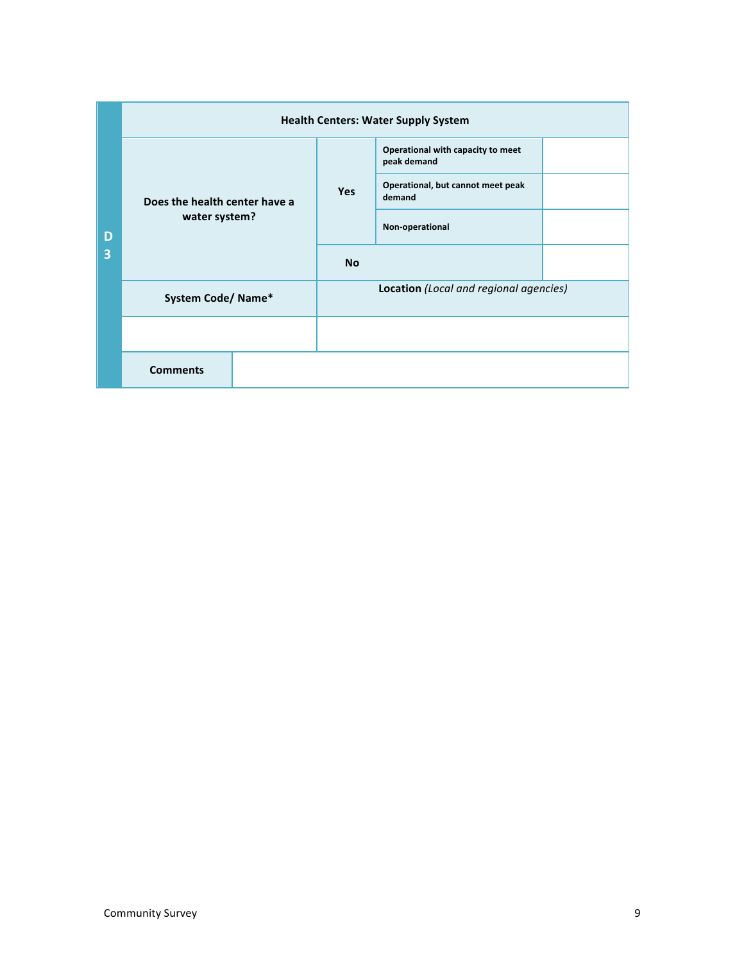|        | <b>Health Centers: Water Supply System</b> |            |                                                  |  |
|--------|--------------------------------------------|------------|--------------------------------------------------|--|
|        |                                            |            | Operational with capacity to meet<br>peak demand |  |
|        | Does the health center have a              | <b>Yes</b> | Operational, but cannot meet peak<br>demand      |  |
| D<br>3 | water system?                              |            | Non-operational                                  |  |
|        |                                            | <b>No</b>  |                                                  |  |
|        | <b>System Code/ Name*</b>                  |            | Location (Local and regional agencies)           |  |
|        |                                            |            |                                                  |  |
|        | <b>Comments</b>                            |            |                                                  |  |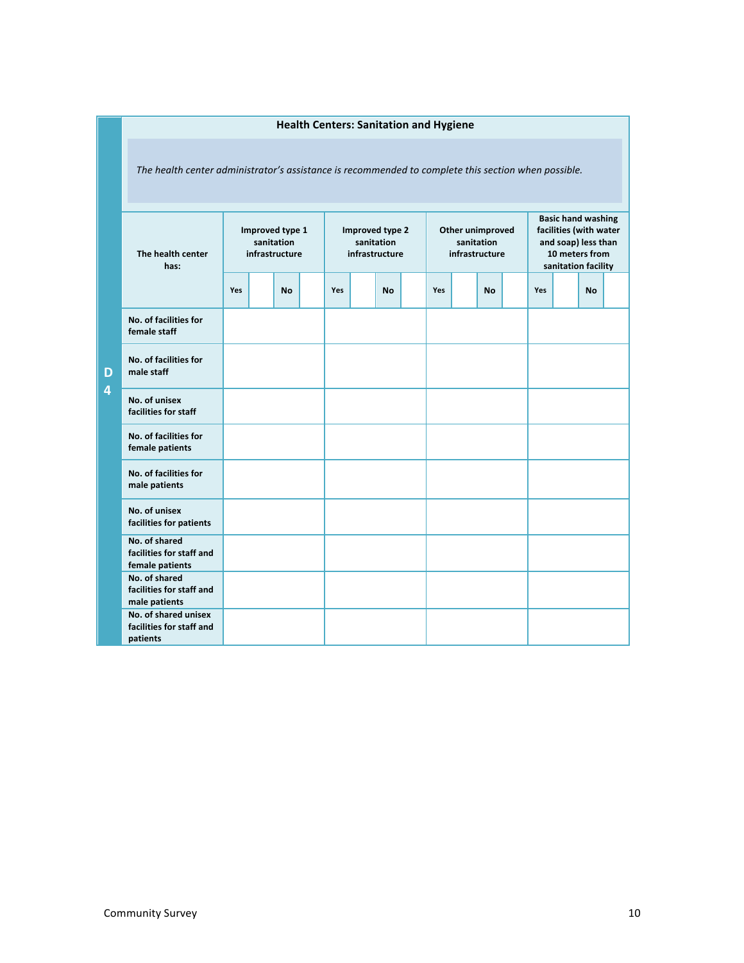| <b>Health Centers: Sanitation and Hygiene</b>                                                       |                                                 |  |           |                                                 |     |  |           |  |                                    |            |           |                                                                                                                     |     |  |           |  |
|-----------------------------------------------------------------------------------------------------|-------------------------------------------------|--|-----------|-------------------------------------------------|-----|--|-----------|--|------------------------------------|------------|-----------|---------------------------------------------------------------------------------------------------------------------|-----|--|-----------|--|
| The health center administrator's assistance is recommended to complete this section when possible. |                                                 |  |           |                                                 |     |  |           |  |                                    |            |           |                                                                                                                     |     |  |           |  |
| The health center<br>has:                                                                           | Improved type 1<br>sanitation<br>infrastructure |  |           | Improved type 2<br>sanitation<br>infrastructure |     |  |           |  | Other unimproved<br>infrastructure | sanitation |           | <b>Basic hand washing</b><br>facilities (with water<br>and soap) less than<br>10 meters from<br>sanitation facility |     |  |           |  |
|                                                                                                     |                                                 |  | <b>No</b> |                                                 | Yes |  | <b>No</b> |  | Yes                                |            | <b>No</b> |                                                                                                                     | Yes |  | <b>No</b> |  |
| No. of facilities for<br>female staff                                                               |                                                 |  |           |                                                 |     |  |           |  |                                    |            |           |                                                                                                                     |     |  |           |  |
| No. of facilities for<br>male staff                                                                 |                                                 |  |           |                                                 |     |  |           |  |                                    |            |           |                                                                                                                     |     |  |           |  |
| No. of unisex<br>facilities for staff                                                               |                                                 |  |           |                                                 |     |  |           |  |                                    |            |           |                                                                                                                     |     |  |           |  |
| No. of facilities for<br>female patients                                                            |                                                 |  |           |                                                 |     |  |           |  |                                    |            |           |                                                                                                                     |     |  |           |  |
| No. of facilities for<br>male patients                                                              |                                                 |  |           |                                                 |     |  |           |  |                                    |            |           |                                                                                                                     |     |  |           |  |
| No. of unisex<br>facilities for patients                                                            |                                                 |  |           |                                                 |     |  |           |  |                                    |            |           |                                                                                                                     |     |  |           |  |
| No. of shared<br>facilities for staff and<br>female patients                                        |                                                 |  |           |                                                 |     |  |           |  |                                    |            |           |                                                                                                                     |     |  |           |  |
| No. of shared<br>facilities for staff and<br>male patients                                          |                                                 |  |           |                                                 |     |  |           |  |                                    |            |           |                                                                                                                     |     |  |           |  |
| No. of shared unisex<br>facilities for staff and<br>patients                                        |                                                 |  |           |                                                 |     |  |           |  |                                    |            |           |                                                                                                                     |     |  |           |  |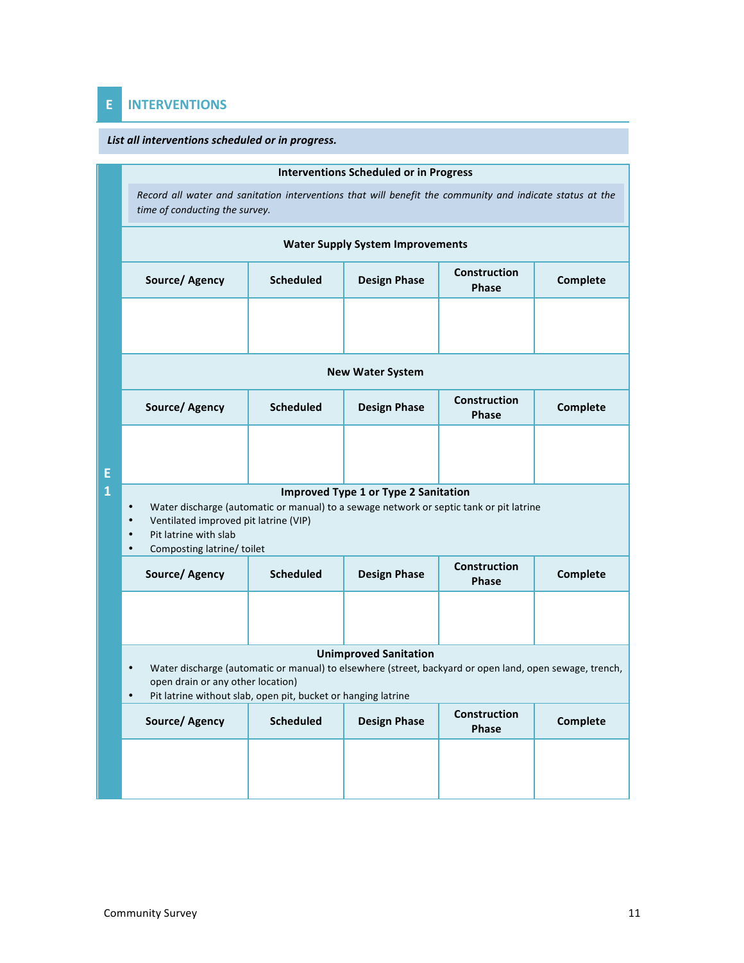# **E INTERVENTIONS**

### List all interventions scheduled or *in progress.*

|   |                                                                                                                                                                                                                                                                              |                  | <b>Interventions Scheduled or in Progress</b> |                                     |                 |  |  |  |  |  |  |  |  |  |  |
|---|------------------------------------------------------------------------------------------------------------------------------------------------------------------------------------------------------------------------------------------------------------------------------|------------------|-----------------------------------------------|-------------------------------------|-----------------|--|--|--|--|--|--|--|--|--|--|
|   | Record all water and sanitation interventions that will benefit the community and indicate status at the<br>time of conducting the survey.                                                                                                                                   |                  |                                               |                                     |                 |  |  |  |  |  |  |  |  |  |  |
|   |                                                                                                                                                                                                                                                                              |                  | <b>Water Supply System Improvements</b>       |                                     |                 |  |  |  |  |  |  |  |  |  |  |
|   | Source/Agency                                                                                                                                                                                                                                                                | <b>Scheduled</b> | <b>Design Phase</b>                           | <b>Construction</b><br><b>Phase</b> | Complete        |  |  |  |  |  |  |  |  |  |  |
|   |                                                                                                                                                                                                                                                                              |                  |                                               |                                     |                 |  |  |  |  |  |  |  |  |  |  |
|   | <b>New Water System</b>                                                                                                                                                                                                                                                      |                  |                                               |                                     |                 |  |  |  |  |  |  |  |  |  |  |
|   | Source/ Agency                                                                                                                                                                                                                                                               | <b>Scheduled</b> | <b>Design Phase</b>                           | <b>Construction</b><br><b>Phase</b> | Complete        |  |  |  |  |  |  |  |  |  |  |
| E |                                                                                                                                                                                                                                                                              |                  |                                               |                                     |                 |  |  |  |  |  |  |  |  |  |  |
| 1 | <b>Improved Type 1 or Type 2 Sanitation</b><br>Water discharge (automatic or manual) to a sewage network or septic tank or pit latrine<br>$\bullet$<br>Ventilated improved pit latrine (VIP)<br>$\bullet$<br>Pit latrine with slab<br>Composting latrine/toilet<br>$\bullet$ |                  |                                               |                                     |                 |  |  |  |  |  |  |  |  |  |  |
|   | Source/ Agency                                                                                                                                                                                                                                                               | <b>Scheduled</b> | <b>Design Phase</b>                           | <b>Construction</b><br><b>Phase</b> | Complete        |  |  |  |  |  |  |  |  |  |  |
|   |                                                                                                                                                                                                                                                                              |                  |                                               |                                     |                 |  |  |  |  |  |  |  |  |  |  |
|   | <b>Unimproved Sanitation</b>                                                                                                                                                                                                                                                 |                  |                                               |                                     |                 |  |  |  |  |  |  |  |  |  |  |
|   | Water discharge (automatic or manual) to elsewhere (street, backyard or open land, open sewage, trench,<br>open drain or any other location)<br>Pit latrine without slab, open pit, bucket or hanging latrine                                                                |                  |                                               |                                     |                 |  |  |  |  |  |  |  |  |  |  |
|   | Source/ Agency                                                                                                                                                                                                                                                               | <b>Scheduled</b> | <b>Design Phase</b>                           | Construction<br>Phase               | <b>Complete</b> |  |  |  |  |  |  |  |  |  |  |
|   |                                                                                                                                                                                                                                                                              |                  |                                               |                                     |                 |  |  |  |  |  |  |  |  |  |  |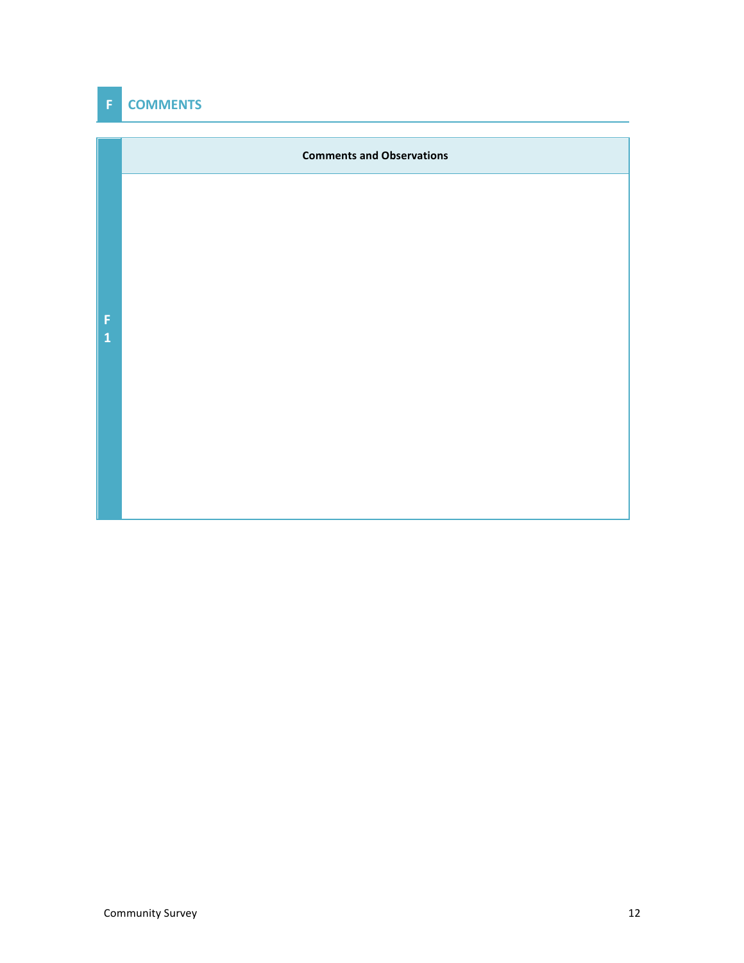# **F COMMENTS**

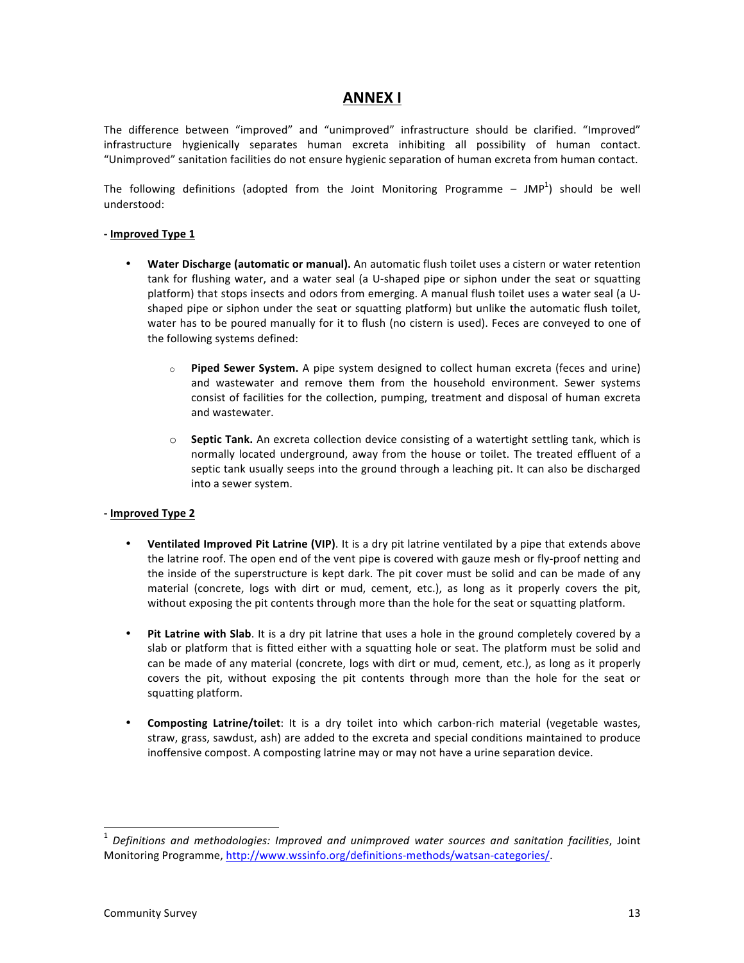## **ANNEX I**

The difference between "improved" and "unimproved" infrastructure should be clarified. "Improved" infrastructure hygienically separates human excreta inhibiting all possibility of human contact. "Unimproved" sanitation facilities do not ensure hygienic separation of human excreta from human contact.

The following definitions (adopted from the Joint Monitoring Programme – JMP<sup>1</sup>) should be well understood:

### **- Improved Type 1**

- **Water Discharge (automatic or manual).** An automatic flush toilet uses a cistern or water retention tank for flushing water, and a water seal (a U-shaped pipe or siphon under the seat or squatting platform) that stops insects and odors from emerging. A manual flush toilet uses a water seal (a Ushaped pipe or siphon under the seat or squatting platform) but unlike the automatic flush toilet, water has to be poured manually for it to flush (no cistern is used). Feces are conveyed to one of the following systems defined:
	- Piped Sewer System. A pipe system designed to collect human excreta (feces and urine) and wastewater and remove them from the household environment. Sewer systems consist of facilities for the collection, pumping, treatment and disposal of human excreta and wastewater.
	- $\circ$  **Septic Tank.** An excreta collection device consisting of a watertight settling tank, which is normally located underground, away from the house or toilet. The treated effluent of a septic tank usually seeps into the ground through a leaching pit. It can also be discharged into a sewer system.

### **- Improved Type 2**

- **Ventilated Improved Pit Latrine (VIP)**. It is a dry pit latrine ventilated by a pipe that extends above the latrine roof. The open end of the vent pipe is covered with gauze mesh or fly-proof netting and the inside of the superstructure is kept dark. The pit cover must be solid and can be made of any material (concrete, logs with dirt or mud, cement, etc.), as long as it properly covers the pit, without exposing the pit contents through more than the hole for the seat or squatting platform.
- Pit Latrine with Slab. It is a dry pit latrine that uses a hole in the ground completely covered by a slab or platform that is fitted either with a squatting hole or seat. The platform must be solid and can be made of any material (concrete, logs with dirt or mud, cement, etc.), as long as it properly covers the pit, without exposing the pit contents through more than the hole for the seat or squatting platform.
- **Composting Latrine/toilet**: It is a dry toilet into which carbon-rich material (vegetable wastes, straw, grass, sawdust, ash) are added to the excreta and special conditions maintained to produce inoffensive compost. A composting latrine may or may not have a urine separation device.

 <sup>1</sup> *Definitions and methodologies: Improved and unimproved water sources and sanitation facilities*, Joint Monitoring Programme, http://www.wssinfo.org/definitions-methods/watsan-categories/.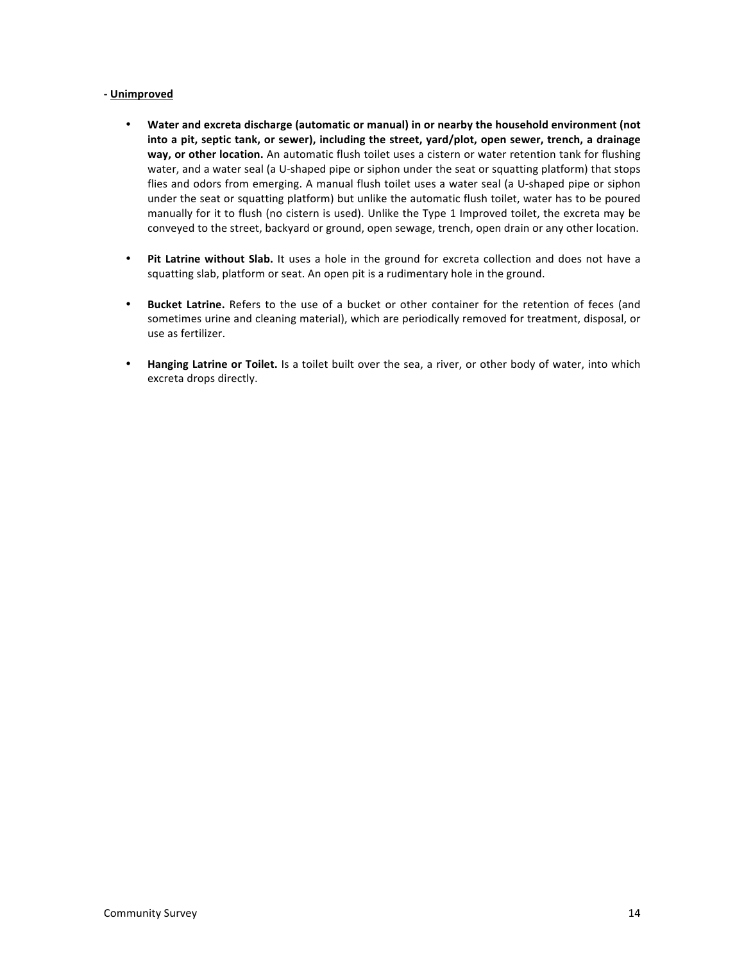### **- Unimproved**

- Water and excreta discharge (automatic or manual) in or nearby the household environment (not into a pit, septic tank, or sewer), including the street, yard/plot, open sewer, trench, a drainage way, or other location. An automatic flush toilet uses a cistern or water retention tank for flushing water, and a water seal (a U-shaped pipe or siphon under the seat or squatting platform) that stops flies and odors from emerging. A manual flush toilet uses a water seal (a U-shaped pipe or siphon under the seat or squatting platform) but unlike the automatic flush toilet, water has to be poured manually for it to flush (no cistern is used). Unlike the Type 1 Improved toilet, the excreta may be conveyed to the street, backyard or ground, open sewage, trench, open drain or any other location.
- Pit Latrine without Slab. It uses a hole in the ground for excreta collection and does not have a squatting slab, platform or seat. An open pit is a rudimentary hole in the ground.
- **Bucket Latrine.** Refers to the use of a bucket or other container for the retention of feces (and sometimes urine and cleaning material), which are periodically removed for treatment, disposal, or use as fertilizer.
- **Hanging Latrine or Toilet.** Is a toilet built over the sea, a river, or other body of water, into which excreta drops directly.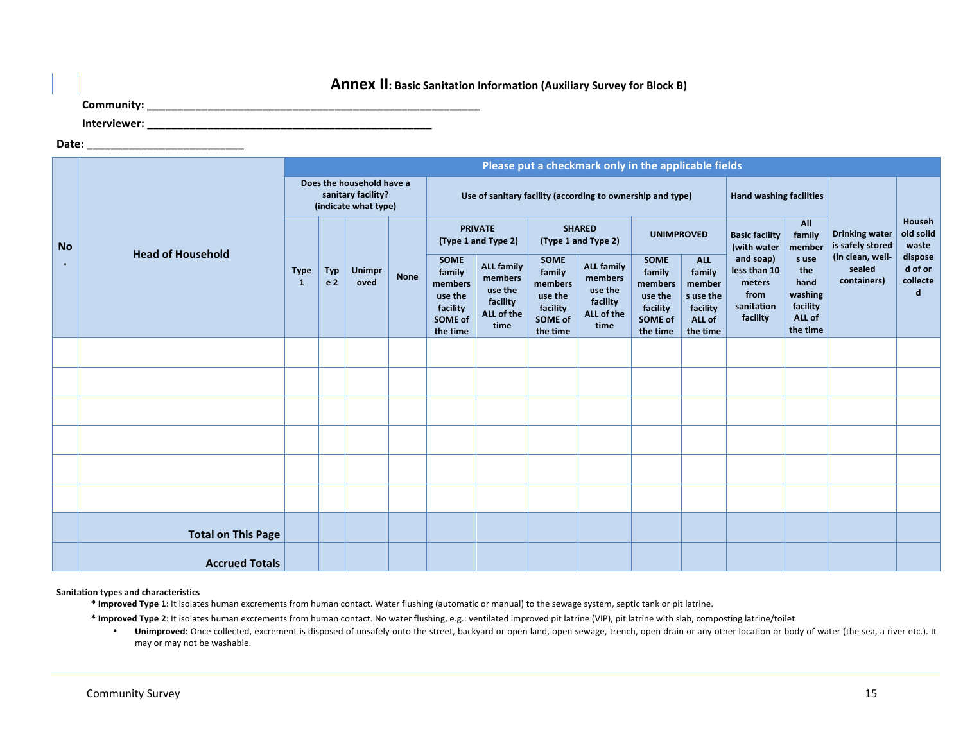### **Annex II:** Basic Sanitation Information (Auxiliary Survey for Block B)

**Community: \_\_\_\_\_\_\_\_\_\_\_\_\_\_\_\_\_\_\_\_\_\_\_\_\_\_\_\_\_\_\_\_\_\_\_\_\_\_\_\_\_\_\_\_\_\_\_\_\_\_\_\_\_\_\_**

**Interviewer: \_\_\_\_\_\_\_\_\_\_\_\_\_\_\_\_\_\_\_\_\_\_\_\_\_\_\_\_\_\_\_\_\_\_\_\_\_\_\_\_\_\_\_\_\_\_\_**

**Date: \_\_\_\_\_\_\_\_\_\_\_\_\_\_\_\_\_\_\_\_\_\_\_\_\_\_**

|           |                           |                                                                         |                              |                       |             |                                                                                |                                                                           |                                                                                | Please put a checkmark only in the applicable fields                      |                                                                                |                                                                               |                                                                       |                                                                   |                                           |                                     |
|-----------|---------------------------|-------------------------------------------------------------------------|------------------------------|-----------------------|-------------|--------------------------------------------------------------------------------|---------------------------------------------------------------------------|--------------------------------------------------------------------------------|---------------------------------------------------------------------------|--------------------------------------------------------------------------------|-------------------------------------------------------------------------------|-----------------------------------------------------------------------|-------------------------------------------------------------------|-------------------------------------------|-------------------------------------|
|           |                           | Does the household have a<br>sanitary facility?<br>(indicate what type) |                              |                       |             |                                                                                |                                                                           |                                                                                | Use of sanitary facility (according to ownership and type)                | <b>Hand washing facilities</b>                                                 |                                                                               |                                                                       |                                                                   |                                           |                                     |
| <b>No</b> | <b>Head of Household</b>  |                                                                         |                              |                       |             |                                                                                | <b>PRIVATE</b><br>(Type 1 and Type 2)                                     |                                                                                | <b>SHARED</b><br>(Type 1 and Type 2)                                      | <b>UNIMPROVED</b>                                                              |                                                                               | <b>Basic facility</b><br>(with water                                  | All<br>family<br>member                                           | <b>Drinking water</b><br>is safely stored | Househ<br>old solid<br>waste        |
|           |                           | <b>Type</b><br>-1                                                       | <b>Typ</b><br>e <sub>2</sub> | <b>Unimpr</b><br>oved | <b>None</b> | <b>SOME</b><br>family<br>members<br>use the<br>facility<br>SOME of<br>the time | <b>ALL family</b><br>members<br>use the<br>facility<br>ALL of the<br>time | <b>SOME</b><br>family<br>members<br>use the<br>facility<br>SOME of<br>the time | <b>ALL family</b><br>members<br>use the<br>facility<br>ALL of the<br>time | <b>SOME</b><br>family<br>members<br>use the<br>facility<br>SOME of<br>the time | <b>ALL</b><br>family<br>member<br>s use the<br>facility<br>ALL of<br>the time | and soap)<br>less than 10<br>meters<br>from<br>sanitation<br>facility | s use<br>the<br>hand<br>washing<br>facility<br>ALL of<br>the time | (in clean, well-<br>sealed<br>containers) | dispose<br>d of or<br>collecte<br>d |
|           |                           |                                                                         |                              |                       |             |                                                                                |                                                                           |                                                                                |                                                                           |                                                                                |                                                                               |                                                                       |                                                                   |                                           |                                     |
|           |                           |                                                                         |                              |                       |             |                                                                                |                                                                           |                                                                                |                                                                           |                                                                                |                                                                               |                                                                       |                                                                   |                                           |                                     |
|           |                           |                                                                         |                              |                       |             |                                                                                |                                                                           |                                                                                |                                                                           |                                                                                |                                                                               |                                                                       |                                                                   |                                           |                                     |
|           |                           |                                                                         |                              |                       |             |                                                                                |                                                                           |                                                                                |                                                                           |                                                                                |                                                                               |                                                                       |                                                                   |                                           |                                     |
|           |                           |                                                                         |                              |                       |             |                                                                                |                                                                           |                                                                                |                                                                           |                                                                                |                                                                               |                                                                       |                                                                   |                                           |                                     |
|           |                           |                                                                         |                              |                       |             |                                                                                |                                                                           |                                                                                |                                                                           |                                                                                |                                                                               |                                                                       |                                                                   |                                           |                                     |
|           | <b>Total on This Page</b> |                                                                         |                              |                       |             |                                                                                |                                                                           |                                                                                |                                                                           |                                                                                |                                                                               |                                                                       |                                                                   |                                           |                                     |
|           | <b>Accrued Totals</b>     |                                                                         |                              |                       |             |                                                                                |                                                                           |                                                                                |                                                                           |                                                                                |                                                                               |                                                                       |                                                                   |                                           |                                     |

**Sanitation types and characteristics**

\* Improved Type 1: It isolates human excrements from human contact. Water flushing (automatic or manual) to the sewage system, septic tank or pit latrine.

\* Improved Type 2: It isolates human excrements from human contact. No water flushing, e.g.: ventilated improved pit latrine (VIP), pit latrine with slab, composting latrine/toilet

• Unimproved: Once collected, excrement is disposed of unsafely onto the street, backyard or open land, open sewage, trench, open drain or any other location or body of water (the sea, a river etc.). It may or may not be washable.